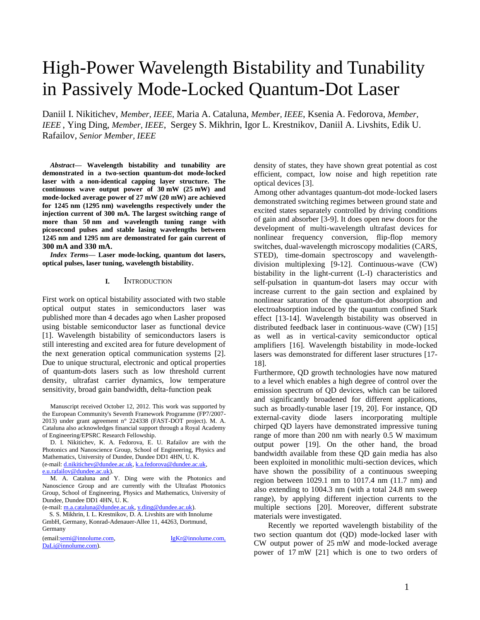# High-Power Wavelength Bistability and Tunability in Passively Mode-Locked Quantum-Dot Laser

Daniil I. Nikitichev, *Member, IEEE,* Maria A. Cataluna, *Member, IEEE*, Ksenia A. Fedorova, *Member, IEEE* , Ying Ding, *Member, IEEE*, Sergey S. Mikhrin, Igor L. Krestnikov, Daniil A. Livshits, Edik U. Rafailov, *Senior Member, IEEE*

*Abstract***— Wavelength bistability and tunability are demonstrated in a two-section quantum-dot mode-locked laser with a non-identical capping layer structure. The continuous wave output power of 30 mW (25 mW) and mode-locked average power of 27 mW (20 mW) are achieved for 1245 nm (1295 nm) wavelengths respectively under the injection current of 300 mA. The largest switching range of more than 50 nm and wavelength tuning range with picosecond pulses and stable lasing wavelengths between 1245 nm and 1295 nm are demonstrated for gain current of 300 mA and 330 mA.**

*Index Terms***— Laser mode-locking, quantum dot lasers, optical pulses, laser tuning, wavelength bistability.** 

#### **I.** INTRODUCTION

First work on optical bistability associated with two stable optical output states in semiconductors laser was published more than 4 decades ago when Lasher proposed using bistable semiconductor laser as functional device [1]. Wavelength bistability of semiconductors lasers is still interesting and excited area for future development of the next generation optical communication systems [2]. Due to unique structural, electronic and optical properties of quantum-dots lasers such as low threshold current density, ultrafast carrier dynamics, low temperature sensitivity, broad gain bandwidth, delta-function peak

Manuscript received October 12, 2012. This work was supported by the European Community's Seventh Framework Programme (FP7/2007- 2013) under grant agreement n° 224338 (FAST-DOT project). M. A. Cataluna also acknowledges financial support through a Royal Academy of Engineering/EPSRC Research Fellowship.

D. I. Nikitichev, K. A. Fedorova, E. U. Rafailov are with the Photonics and Nanoscience Group, School of Engineering, Physics and Mathematics, University of Dundee, Dundee DD1 4HN, U. K. (e-mail[: d.nikitichev@dundee.ac.uk,](mailto:d.nikitichev@dundee.ac.uk) [k.a.fedorova@dundee.ac.uk,](mailto:k.a.fedorova@dundee.ac.uk)  [e.u.rafailov@dundee.ac.uk\)](mailto:e.u.rafailov@dundee.ac.uk).

M. A. Cataluna and Y. Ding were with the Photonics and Nanoscience Group and are currently with the Ultrafast Photonics Group, School of Engineering, Physics and Mathematics, University of Dundee, Dundee DD1 4HN, U. K.

(e-mail[: m.a.cataluna@dundee.ac.uk,](mailto:m.a.cataluna@dundee.ac.uk) [y.ding@dundee.ac.uk\)](mailto:y.ding@dundee.ac.uk).

S. S. Mikhrin, I. L. Krestnikov, D. A. Livshits are with Innolume GmbH, Germany, Konrad-Adenauer-Allee 11, 44263, Dortmund, Germany

(emai[l:semi@innolume.com,](mailto:semi@innolume.com) [IgKr@innolume.com,](mailto:IgKr@innolume.com) DaLi@innolume.com).

density of states, they have shown great potential as cost efficient, compact, low noise and high repetition rate optical devices [3].

Among other advantages quantum-dot mode-locked lasers demonstrated switching regimes between ground state and excited states separately controlled by driving conditions of gain and absorber [3-9]. It does open new doors for the development of multi-wavelength ultrafast devices for nonlinear frequency conversion, flip-flop memory switches, dual-wavelength microscopy modalities (CARS, STED), time-domain spectroscopy and wavelengthdivision multiplexing [9-12]. Continuous-wave (CW) bistability in the light-current (L-I) characteristics and self-pulsation in quantum-dot lasers may occur with increase current to the gain section and explained by nonlinear saturation of the quantum-dot absorption and electroabsorption induced by the quantum confined Stark effect [13-14]. Wavelength bistability was observed in distributed feedback laser in continuous-wave (CW) [15] as well as in vertical-cavity semiconductor optical amplifiers [16]. Wavelength bistability in mode-locked lasers was demonstrated for different laser structures [17- 18].

Furthermore, QD growth technologies have now matured to a level which enables a high degree of control over the emission spectrum of QD devices, which can be tailored and significantly broadened for different applications, such as broadly-tunable laser [19, 20]. For instance, QD external-cavity diode lasers incorporating multiple chirped QD layers have demonstrated impressive tuning range of more than 200 nm with nearly 0.5 W maximum output power [19]. On the other hand, the broad bandwidth available from these QD gain media has also been exploited in monolithic multi-section devices, which have shown the possibility of a continuous sweeping region between 1029.1 nm to 1017.4 nm (11.7 nm) and also extending to 1004.3 nm (with a total 24.8 nm sweep range), by applying different injection currents to the multiple sections [20]. Moreover, different substrate materials were investigated.

Recently we reported wavelength bistability of the two section quantum dot (QD) mode-locked laser with CW output power of 25 mW and mode-locked average power of 17 mW [21] which is one to two orders of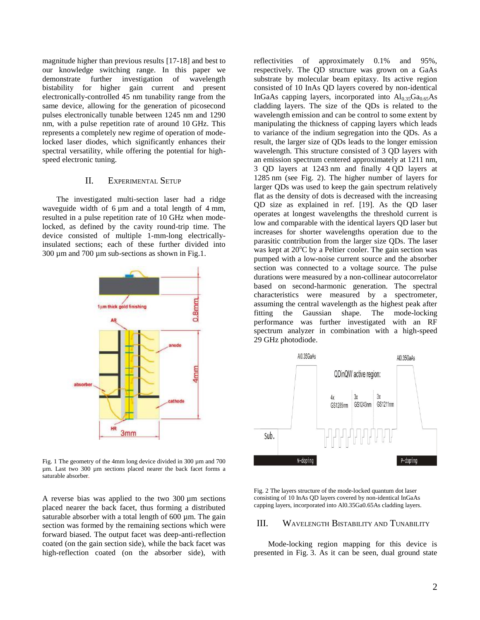magnitude higher than previous results [17-18] and best to our knowledge switching range. In this paper we demonstrate further investigation of wavelength bistability for higher gain current and present electronically-controlled 45 nm tunability range from the same device, allowing for the generation of picosecond pulses electronically tunable between 1245 nm and 1290 nm, with a pulse repetition rate of around 10 GHz. This represents a completely new regime of operation of modelocked laser diodes, which significantly enhances their spectral versatility, while offering the potential for highspeed electronic tuning.

# II. EXPERIMENTAL SETUP

The investigated multi-section laser had a ridge waveguide width of  $6 \mu m$  and a total length of  $4 \mu m$ , resulted in a pulse repetition rate of 10 GHz when modelocked, as defined by the cavity round-trip time. The device consisted of multiple 1-mm-long electricallyinsulated sections; each of these further divided into 300 µm and 700 µm sub-sections as shown in Fig.1.



Fig. 1 The geometry of the 4mm long device divided in 300 µm and 700 µm. Last two 300 µm sections placed nearer the back facet forms a saturable absorber.

A reverse bias was applied to the two 300 µm sections placed nearer the back facet, thus forming a distributed saturable absorber with a total length of 600 µm. The gain section was formed by the remaining sections which were forward biased. The output facet was deep-anti-reflection coated (on the gain section side), while the back facet was high-reflection coated (on the absorber side), with

reflectivities of approximately 0.1% and 95%, respectively. The QD structure was grown on a GaAs substrate by molecular beam epitaxy. Its active region consisted of 10 InAs QD layers covered by non-identical InGaAs capping layers, incorporated into  $Al<sub>0.35</sub>Ga<sub>0.65</sub>As$ cladding layers. The size of the QDs is related to the wavelength emission and can be control to some extent by manipulating the thickness of capping layers which leads to variance of the indium segregation into the QDs. As a result, the larger size of QDs leads to the longer emission wavelength. This structure consisted of 3 QD layers with an emission spectrum centered approximately at 1211 nm, 3 QD layers at 1243 nm and finally 4 QD layers at 1285 nm (see Fig. 2). The higher number of layers for larger QDs was used to keep the gain spectrum relatively flat as the density of dots is decreased with the increasing QD size as explained in ref. [19]. As the QD laser operates at longest wavelengths the threshold current is low and comparable with the identical layers QD laser but increases for shorter wavelengths operation due to the parasitic contribution from the larger size QDs. The laser was kept at  $20^{\circ}$ C by a Peltier cooler. The gain section was pumped with a low-noise current source and the absorber section was connected to a voltage source. The pulse durations were measured by a non-collinear autocorrelator based on second-harmonic generation. The spectral characteristics were measured by a spectrometer, assuming the central wavelength as the highest peak after fitting the Gaussian shape. The mode-locking performance was further investigated with an RF spectrum analyzer in combination with a high-speed 29 GHz photodiode.



Fig. 2 The layers structure of the mode-locked quantum dot laser consisting of 10 InAs QD layers covered by non-identical InGaAs capping layers, incorporated into Al0.35Ga0.65As cladding layers.

## III. WAVELENGTH BISTABILITY AND TUNABILITY

Mode-locking region mapping for this device is presented in Fig. 3. As it can be seen, dual ground state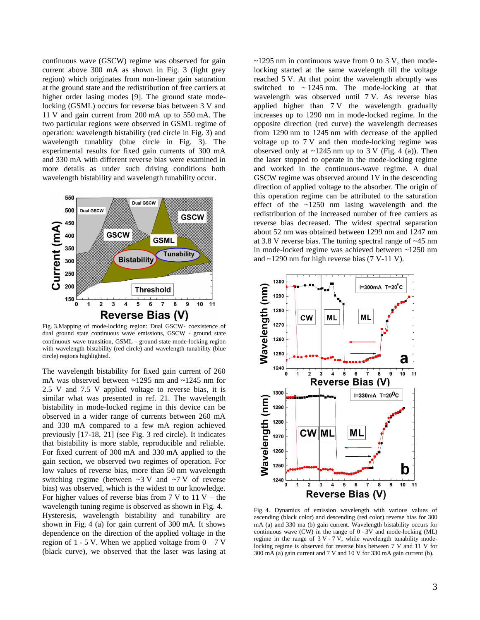continuous wave (GSCW) regime was observed for gain current above 300 mA as shown in Fig. 3 (light grey region) which originates from non-linear gain saturation at the ground state and the redistribution of free carriers at higher order lasing modes [9]. The ground state modelocking (GSML) occurs for reverse bias between 3 V and 11 V and gain current from 200 mA up to 550 mA. The two particular regions were observed in GSML regime of operation: wavelength bistability (red circle in Fig. 3) and wavelength tunablity (blue circle in Fig. 3). The experimental results for fixed gain currents of 300 mA and 330 mA with different reverse bias were examined in more details as under such driving conditions both wavelength bistability and wavelength tunability occur.



Fig. 3.Mapping of mode-locking region: Dual GSCW- coexistence of dual ground state continuous wave emissions, GSCW - ground state continuous wave transition, GSML - ground state mode-locking region with wavelength bistability (red circle) and wavelength tunability (blue circle) regions highlighted.

The wavelength bistability for fixed gain current of 260 mA was observed between ~1295 nm and ~1245 nm for 2.5 V and 7.5 V applied voltage to reverse bias, it is similar what was presented in ref. 21. The wavelength bistability in mode-locked regime in this device can be observed in a wider range of currents between 260 mA and 330 mA compared to a few mA region achieved previously [17-18, 21] (see Fig. 3 red circle). It indicates that bistability is more stable, reproducible and reliable. For fixed current of 300 mA and 330 mA applied to the gain section, we observed two regimes of operation. For low values of reverse bias, more than 50 nm wavelength switching regime (between  $\sim$ 3 V and  $\sim$ 7 V of reverse bias) was observed, which is the widest to our knowledge. For higher values of reverse bias from  $7 \text{ V}$  to  $11 \text{ V}$  – the wavelength tuning regime is observed as shown in Fig. 4. Hysteresis, wavelength bistability and tunability are shown in Fig. 4 (a) for gain current of 300 mA. It shows dependence on the direction of the applied voltage in the region of 1 - 5 V. When we applied voltage from  $0 - 7$  V (black curve), we observed that the laser was lasing at

 $\sim$ 1295 nm in continuous wave from 0 to 3 V, then modelocking started at the same wavelength till the voltage reached 5 V. At that point the wavelength abruptly was switched to  $\sim$  1245 nm. The mode-locking at that wavelength was observed until 7 V. As reverse bias applied higher than 7 V the wavelength gradually increases up to 1290 nm in mode-locked regime. In the opposite direction (red curve) the wavelength decreases from 1290 nm to 1245 nm with decrease of the applied voltage up to 7 V and then mode-locking regime was observed only at  $\sim$ 1245 nm up to 3 V (Fig. 4 (a)). Then the laser stopped to operate in the mode-locking regime and worked in the continuous-wave regime. A dual GSCW regime was observed around 1V in the descending direction of applied voltage to the absorber. The origin of this operation regime can be attributed to the saturation effect of the  $\approx$ 1250 nm lasing wavelength and the redistribution of the increased number of free carriers as reverse bias decreased. The widest spectral separation about 52 nm was obtained between 1299 nm and 1247 nm at 3.8 V reverse bias. The tuning spectral range of ~45 nm in mode-locked regime was achieved between ~1250 nm and ~1290 nm for high reverse bias (7 V-11 V).



Fig. 4. Dynamics of emission wavelength with various values of ascending (black color) and descending (red color) reverse bias for 300 mA (a) and 330 ma (b) gain current. Wavelength bistability occurs for continuous wave (CW) in the range of 0 - 3V and mode-locking (ML) regime in the range of  $3V - 7V$ , while wavelength tunability modelocking regime is observed for reverse bias between 7 V and 11 V for 300 mA (a) gain current and 7 V and 10 V for 330 mA gain current (b).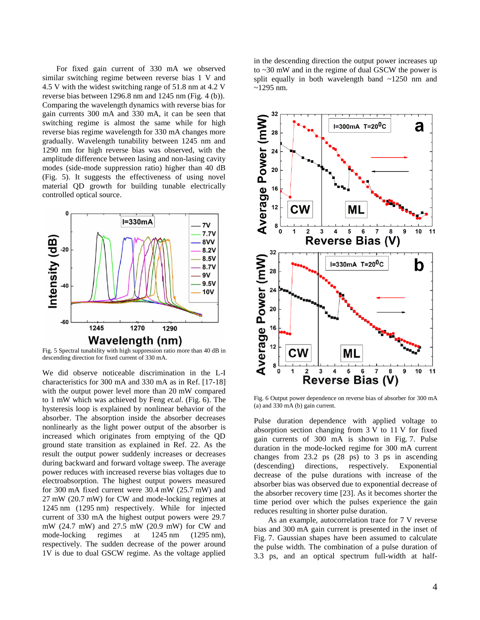For fixed gain current of 330 mA we observed similar switching regime between reverse bias 1 V and 4.5 V with the widest switching range of 51.8 nm at 4.2 V reverse bias between 1296.8 nm and 1245 nm (Fig. 4 (b)). Comparing the wavelength dynamics with reverse bias for gain currents 300 mA and 330 mA, it can be seen that switching regime is almost the same while for high reverse bias regime wavelength for 330 mA changes more gradually. Wavelength tunability between 1245 nm and 1290 nm for high reverse bias was observed, with the amplitude difference between lasing and non-lasing cavity modes (side-mode suppression ratio) higher than 40 dB (Fig. 5). It suggests the effectiveness of using novel material QD growth for building tunable electrically controlled optical source.



Fig. 5 Spectral tunability with high suppression ratio more than 40 dB in descending direction for fixed current of 330 mA.

We did observe noticeable discrimination in the L-I characteristics for 300 mA and 330 mA as in Ref. [17-18] with the output power level more than 20 mW compared to 1 mW which was achieved by Feng *et.al*. (Fig. 6). The hysteresis loop is explained by nonlinear behavior of the absorber. The absorption inside the absorber decreases nonlinearly as the light power output of the absorber is increased which originates from emptying of the QD ground state transition as explained in Ref. 22. As the result the output power suddenly increases or decreases during backward and forward voltage sweep. The average power reduces with increased reverse bias voltages due to electroabsorption. The highest output powers measured for 300 mA fixed current were 30.4 mW (25.7 mW) and 27 mW (20.7 mW) for CW and mode-locking regimes at 1245 nm (1295 nm) respectively. While for injected current of 330 mA the highest output powers were 29.7 mW (24.7 mW) and 27.5 mW (20.9 mW) for CW and mode-locking regimes at 1245 nm (1295 nm), respectively. The sudden decrease of the power around 1V is due to dual GSCW regime. As the voltage applied

in the descending direction the output power increases up to ~30 mW and in the regime of dual GSCW the power is split equally in both wavelength band ~1250 nm and  $~1295$  nm.



Fig. 6 Output power dependence on reverse bias of absorber for 300 mA (a) and 330 mA (b) gain current.

Pulse duration dependence with applied voltage to absorption section changing from 3 V to 11 V for fixed gain currents of 300 mA is shown in Fig. 7. Pulse duration in the mode-locked regime for 300 mA current changes from 23.2 ps (28 ps) to 3 ps in ascending (descending) directions, respectively. Exponential decrease of the pulse durations with increase of the absorber bias was observed due to exponential decrease of the absorber recovery time [23]. As it becomes shorter the time period over which the pulses experience the gain reduces resulting in shorter pulse duration.

As an example, autocorrelation trace for 7 V reverse bias and 300 mA gain current is presented in the inset of Fig. 7. Gaussian shapes have been assumed to calculate the pulse width. The combination of a pulse duration of 3.3 ps, and an optical spectrum full-width at half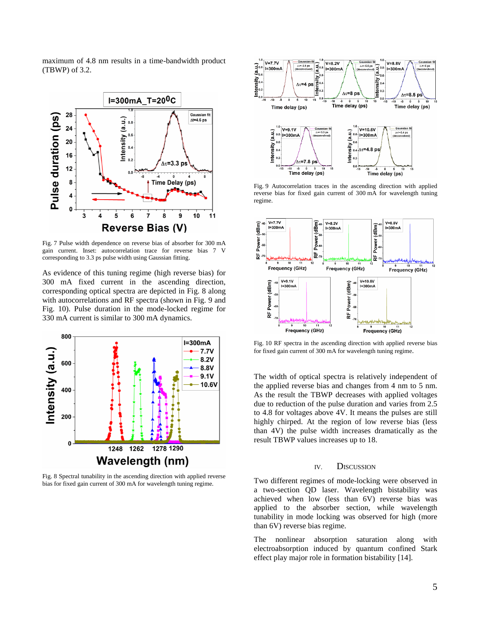maximum of 4.8 nm results in a time-bandwidth product (TBWP) of 3.2.



Fig. 7 Pulse width dependence on reverse bias of absorber for 300 mA gain current. Inset: autocorrelation trace for reverse bias 7 V corresponding to 3.3 ps pulse width using Gaussian fitting.

As evidence of this tuning regime (high reverse bias) for 300 mA fixed current in the ascending direction, corresponding optical spectra are depicted in Fig. 8 along with autocorrelations and RF spectra (shown in Fig. 9 and Fig. 10). Pulse duration in the mode-locked regime for 330 mA current is similar to 300 mA dynamics.



Fig. 8 Spectral tunability in the ascending direction with applied reverse bias for fixed gain current of 300 mA for wavelength tuning regime.



Fig. 9 Autocorrelation traces in the ascending direction with applied reverse bias for fixed gain current of 300 mA for wavelength tuning regime.



Fig. 10 RF spectra in the ascending direction with applied reverse bias for fixed gain current of 300 mA for wavelength tuning regime.

The width of optical spectra is relatively independent of the applied reverse bias and changes from 4 nm to 5 nm. As the result the TBWP decreases with applied voltages due to reduction of the pulse duration and varies from 2.5 to 4.8 for voltages above 4V. It means the pulses are still highly chirped. At the region of low reverse bias (less than 4V) the pulse width increases dramatically as the result TBWP values increases up to 18.

## IV. DISCUSSION

Two different regimes of mode-locking were observed in a two-section QD laser. Wavelength bistability was achieved when low (less than 6V) reverse bias was applied to the absorber section, while wavelength tunability in mode locking was observed for high (more than 6V) reverse bias regime.

The nonlinear absorption saturation along with electroabsorption induced by quantum confined Stark effect play major role in formation bistability [14].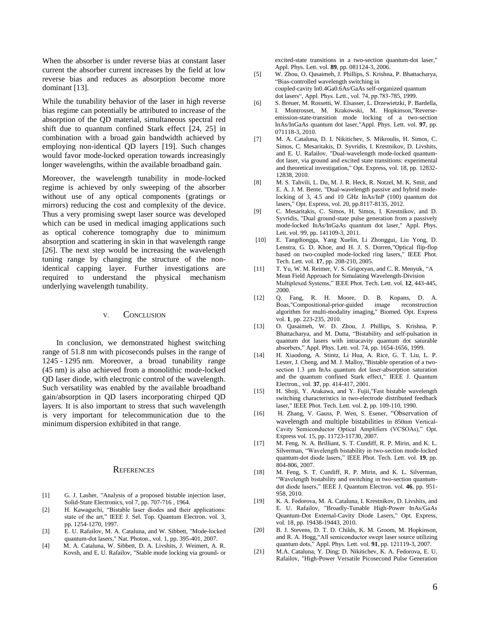When the absorber is under reverse bias at constant laser current the absorber current increases by the field at low reverse bias and reduces as absorption become more dominant [13].

While the tunability behavior of the laser in high reverse bias regime can potentially be attributed to increase of the absorption of the QD material, simultaneous spectral red shift due to quantum confined Stark effect [24, 25] in combination with a broad gain bandwidth achieved by employing non-identical QD layers [19]. Such changes would favor mode-locked operation towards increasingly longer wavelengths, within the available broadband gain.

Moreover, the wavelength tunability in mode-locked regime is achieved by only sweeping of the absorber without use of any optical components (gratings or mirrors) reducing the cost and complexity of the device. Thus a very promising swept laser source was developed which can be used in medical imaging applications such as optical coherence tomography due to minimum absorption and scattering in skin in that wavelength range [26]. The next step would be increasing the wavelength tuning range by changing the structure of the nonidentical capping layer. Further investigations are required to understand the physical mechanism underlying wavelength tunability.

#### V. CONCLUSION

In conclusion, we demonstrated highest switching range of 51.8 nm with picoseconds pulses in the range of 1245 - 1295 nm. Moreover, a broad tunability range (45 nm) is also achieved from a monolithic mode-locked QD laser diode, with electronic control of the wavelength. Such versatility was enabled by the available broadband gain/absorption in QD lasers incorporating chirped QD layers. It is also important to stress that such wavelength is very important for telecommunication due to the minimum dispersion exhibited in that range.

#### **REFERENCES**

- [1] G. J. Lasher, "Analysis of a proposed bistable injection laser, Solid-State Electronics, vol 7, pp. 707-716 , 1964.
- [2] H. Kawaguchi, "Bistable laser diodes and their applications: state of the art," IEEE J. Sel. Top. Quantum Electron. vol. 3, pp. 1254-1270, 1997.
- [3] E. U. Rafailov, M. A. Cataluna, and W. Sibbett, "Mode-locked quantum-dot lasers," Nat. Photon., vol. 1, pp. 395-401, 2007.
- [4] M. A. Cataluna, W. Sibbett, D. A. Livshits, J. Weimert, A. R. Kovsh, and E. U. Rafailov, "Stable mode locking via ground- or

excited-state transitions in a two-section quantum-dot laser," Appl. Phys. Lett. vol. **89**, pp. 081124-3, 2006.

- [5] W. Zhou, O. Qasaimeh, J. Phillips, S. Krishna, P. Bhattacharya, "Bias-controlled wavelength switching in coupled-cavity In0.4Ga0.6As/GaAs self-organized quantum dot lasers", Appl. Phys. Lett., vol. 74, pp.783-785, 1999.
- [6] S. Breuer, M. Rossetti, W. Elsasser, L. Drzewietzki, P. Bardella, I. Montrosset, M. Krakowski, M. Hopkinson,"Reverseemission-state-transition mode locking of a two-section InAs/InGaAs quantum dot laser,"Appl. Phys. Lett. vol. **97**, pp. 071118-3, 2010.
- [7] M. A. Cataluna, D. I. Nikitichev, S. Mikroulis, H. Simos, C. Simos, C. Mesaritakis, D. Syvridis, I. Krestnikov, D. Livshits, and E. U. Rafailov, "Dual-wavelength mode-locked quantumdot laser, via ground and excited state transitions: experimental and theoretical investigation," Opt. Express, vol. 18, pp. 12832- 12838, 2010.
- [8] M. S. Tahvili, L. Du, M. J. R. Heck, R. Notzel, M. K. Smit, and E. A. J. M. Bente, "Dual-wavelength passive and hybrid modelocking of 3, 4.5 and 10 GHz InAs/InP (100) quantum dot lasers," Opt. Express, vol. 20, pp.8117-8135, 2012.
- [9] C. Mesaritakis, C. Simos, H. Simos, I. Krestnikov, and D. Syvridis, "Dual ground-state pulse generation from a passively mode-locked InAs/InGaAs quantum dot laser," Appl. Phys. Lett. vol. 99, pp. 141109-3, 2011.
- [10] E. Tangdiongga, Yang Xuelin, Li Zhonggui, Liu Yong, D. Lenstra, G. D. Khoe, and H. J. S. Dorren,"Optical flip-flop based on two-coupled mode-locked ring lasers," IEEE Phot. Tech. Lett. vol. **17**, pp. 208-210, 2005.
- [11] T. Yu, W. M. Reimer, V. S. Grigoryan, and C. R. Menyuk, "A Mean Field Approach for Simulating Wavelength-Division Multiplexed Systems," IEEE Phot. Tech. Lett. vol. **12**, 443-445, 2000.
- [12] Q. Fang, R. H. Moore, D. B. Kopans, D. A. Boas,"Compositional-prior-guided image reconstruction algorithm for multi-modality imaging," Biomed. Opt. Express vol. **1**, pp. 223-235, 2010.
- [13] O. Qasaimeh, W. D. Zhou, J. Phillips, S. Krishna, P. Bhattacharya, and M. Dutta, "Bistability and self-pulsation in quantum dot lasers with intracavity quantum dot saturable absorbers," Appl. Phys. Lett. vol. 74, pp. 1654-1656, 1999.
- [14] H. Xiaodong, A. Stintz, Li Hua, A. Rice, G. T. Liu, L. P. Lester, J. Cheng, and M. J. Malloy,"Bistable operation of a twosection 1.3 μm InAs quantum dot laser-absorption saturation and the quantum confined Stark effect," IEEE J. Quantum Electron., vol. **37**, pp. 414-417, 2001.
- [15] H. Shoji, Y. Arakawa, and Y. Fujii,"Fast bistable wavelength switching characteristics in two-electrode distributed feedback laser," IEEE Phot. Tech. Lett. vol. **2**, pp. 109-110, 1990.
- [16] H. Zhang, V. Gauss, P. Wen, S. Esener, "Observation of wavelength and multiple bistabilities in 850nm Vertical-Cavity Semiconductor Optical Amplifiers (VCSOAs)," Opt. Express vol. 15, pp. 11723-11730, 2007.
- [17] M. Feng, N. A. Brilliant, S. T. Cundiff, R. P. Mirin, and K. L. Silverman, "Wavelength bistability in two-section mode-locked quantum-dot diode lasers," IEEE Phot. Tech. Lett. vol. **19**, pp. 804-806, 2007.
- [18] M. Feng, S. T. Cundiff, R. P. Mirin, and K. L. Silverman, "Wavelength bistability and switching in two-section quantumdot diode lasers," IEEE J. Quantum Electron. vol. **46**, pp. 951- 958, 2010.
- [19] K. A. Fedorova, M. A. Cataluna, I. Krestnikov, D. Livshits, and E. U. Rafailov, "Broadly-Tunable High-Power InAs/GaAs Quantum-Dot External-Cavity Diode Lasers," Opt. Express, vol. 18, pp. 19438-19443, 2010.
- [20] B. J. Stevens, D. T. D. Childs, K. M. Groom, M. Hopkinson, and R. A. Hogg,"All semiconductor swept laser source utilizing quantum dots," Appl. Phys. Lett. vol. **91**, pp. 121119-3, 2007.
- [21] M.A. Cataluna, Y. Ding; D. Nikitichev, K. A. Fedorova, E. U. Rafailov, "High-Power Versatile Picosecond Pulse Generation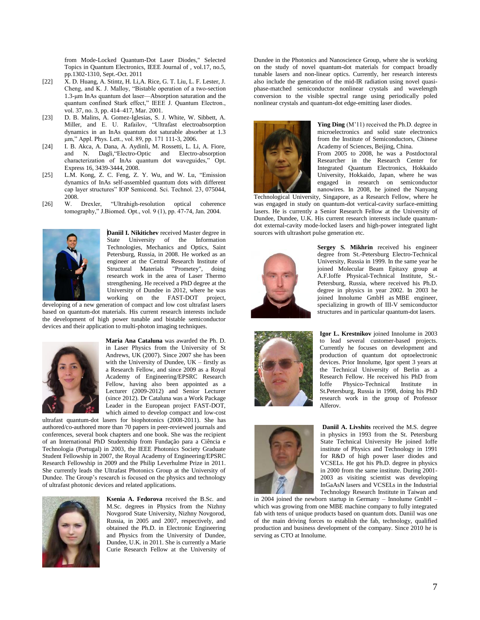from Mode-Locked Quantum-Dot Laser Diodes," Selected Topics in Quantum Electronics, IEEE Journal of , vol.17, no.5, pp.1302-1310, Sept.-Oct. 2011

- [22] X. D. Huang, A. Stintz, H. Li,A. Rice, G. T. Liu, L. F. Lester, J. Cheng, and K. J. Malloy, "Bistable operation of a two-section 1.3-μm InAs quantum dot laser—Absorption saturation and the quantum confined Stark effect," IEEE J. Quantum Electron., vol. 37, no. 3, pp. 414–417, Mar. 2001.
- [23] D. B. Malins, A. Gomez-Iglesias, S. J. White, W. Sibbett, A. Miller, and E. U. Rafailov, "Ultrafast electroabsorption dynamics in an InAs quantum dot saturable absorber at 1.3 μm," Appl. Phys. Lett., vol. 89, pp. 171 111-3, 2006.
- [24] [I. B. Akca,](javascript:searchAuthor() [A. Dana,](javascript:searchAuthor() [A. Aydinli,](javascript:searchAuthor() [M. Rossetti,](javascript:searchAuthor() [L. Li,](javascript:searchAuthor() [A. Fiore,](javascript:searchAuthor() and [N. Dagli,"](javascript:searchAuthor()Electro-Optic and Electro-absorption characterization of InAs quantum dot waveguides," Opt. Express 16, 3439-3444, 2008.
- [25] L.M. Kong, Z. C. Feng, Z. Y. Wu, and W. Lu, "Emission dynamics of InAs self-assembled quantum dots with different cap layer structures" IOP Semicond. Sci. Technol. 23, 075044, 2008.
- [26] W. Drexler, "Ultrahigh-resolution optical coherence tomography," J.Biomed. Opt., vol. 9 (1), pp. 47-74, Jan. 2004.



**Daniil I. Nikitichev** received Master degree in State University of the Information Technologies, Mechanics and Optics, Saint Petersburg, Russia, in 2008. He worked as an engineer at the Central Research Institute of Structural Materials "Prometey", doing research work in the area of Laser Thermo strengthening. He received a PhD degree at the University of Dundee in 2012, where he was working on the FAST-DOT project,

developing of a new generation of compact and low cost ultrafast lasers based on quantum-dot materials. His current research interests include the development of high power tunable and bistable semiconductor devices and their application to multi-photon imaging techniques.



**Maria Ana Cataluna** was awarded the Ph. D. in Laser Physics from the University of St Andrews, UK (2007). Since 2007 she has been with the University of Dundee, UK – firstly as a Research Fellow, and since 2009 as a Royal Academy of Engineering/EPSRC Research Fellow, having also been appointed as a Lecturer (2009-2012) and Senior Lecturer (since 2012). Dr Cataluna was a Work Package Leader in the European project FAST-DOT, which aimed to develop compact and low-cost

ultrafast quantum-dot lasers for biophotonics (2008-2011). She has authored/co-authored more than 70 papers in peer-reviewed journals and conferences, several book chapters and one book. She was the recipient of an International PhD Studentship from Fundação para a Ciência e Technologia (Portugal) in 2003, the IEEE Photonics Society Graduate Student Fellowship in 2007, the Royal Academy of Engineering/EPSRC Research Fellowship in 2009 and the Philip Leverhulme Prize in 2011. She currently leads the Ultrafast Photonics Group at the University of Dundee. The Group's research is focused on the physics and technology of ultrafast photonic devices and related applications.



**Ksenia A. Fedorova** received the B.Sc. and M.Sc. degrees in Physics from the Nizhny Novgorod State University, Nizhny Novgorod, Russia, in 2005 and 2007, respectively, and obtained the Ph.D. in Electronic Engineering and Physics from the University of Dundee, Dundee, U.K. in 2011. She is currently a Marie Curie Research Fellow at the University of

Dundee in the Photonics and Nanoscience Group, where she is working on the study of novel quantum-dot materials for compact broadly tunable lasers and non-linear optics. Currently, her research interests also include the generation of the mid-IR radiation using novel quasiphase-matched semiconductor nonlinear crystals and wavelength conversion to the visible spectral range using periodically poled nonlinear crystals and quantum-dot edge-emitting laser diodes.



**Ying Ding** (M'11) received the Ph.D. degree in microelectronics and solid state electronics from the Institute of Semiconductors, Chinese Academy of Sciences, Beijing, China. From 2005 to 2008, he was a Postdoctoral

Researcher in the Research Center for Integrated Quantum Electronics, Hokkaido University, Hokkaido, Japan, where he was engaged in research on semiconductor nanowires. In 2008, he joined the Nanyang

Technological University, Singapore, as a Research Fellow, where he was engaged in study on quantum-dot vertical-cavity surface-emitting lasers. He is currently a Senior Research Fellow at the University of Dundee, Dundee, U.K. His current research interests include quantumdot external-cavity mode-locked lasers and high-power integrated light sources with ultrashort pulse generation etc.



**Sergey S. Mikhrin** received his engineer degree from St.-Petersburg Electro-Technical University, Russia in 1999. In the same year he joined Molecular Beam Epitaxy group at A.F.Ioffe Physical-Technical Institute, St.- Petersburg, Russia, where received his Ph.D. degree in physics in year 2002. In 2003 he joined Innolume GmbH as MBE engineer, specializing in growth of III-V semiconductor structures and in particular quantum-dot lasers.



**Igor L. Krestnikov** joined Innolume in 2003 to lead several customer-based projects. Currently he focuses on development and production of quantum dot optoelectronic devices. Prior Innolume, Igor spent 3 years at the Technical University of Berlin as a Research Fellow. He received his PhD from Ioffe Physico-Technical Institute in St.Petersburg, Russia in 1998, doing his PhD research work in the group of Professor Alferov.



**Daniil A. Livshits** received the M.S. degree in physics in 1993 from the St. Petersburg State Technical University He joined Ioffe institute of Physics and Technology in 1991 for R&D of high power laser diodes and VCSELs. He got his Ph.D. degree in physics in 2000 from the same institute. During 2001- 2003 as visiting scientist was developing InGaAsN lasers and VCSELs in the Industrial Technology Research Institute in Taiwan and

in 2004 joined the newborn startup in Germany – Innolume GmbH – which was growing from one MBE machine company to fully integrated fab with tens of unique products based on quantum dots. Daniil was one of the main driving forces to establish the fab, technology, qualified production and business development of the company. Since 2010 he is serving as CTO at Innolume.